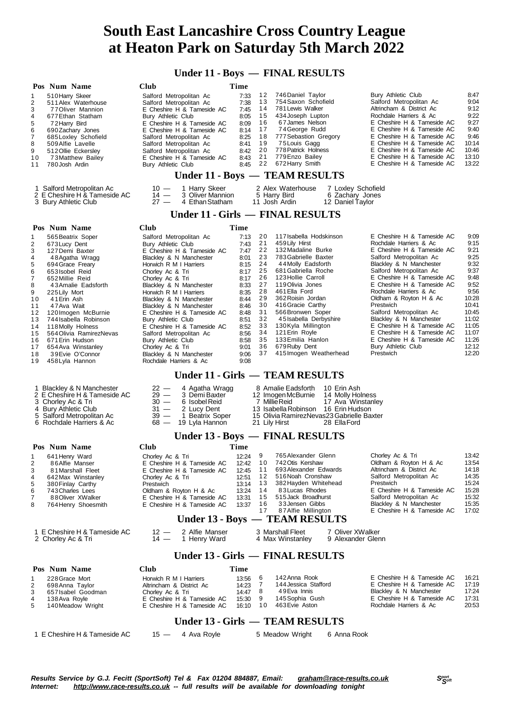**Under 11 - Boys — FINAL RESULTS**

| 12<br>746 Daniel Taylor<br>Bury Athletic Club<br>510 Harry Skeer<br>Salford Metropolitan Ac<br>7:33<br>1<br>13<br>754 Saxon Schofield<br>Salford Metropolitan Ac<br>2<br>511 Alex Waterhouse<br>Salford Metropolitan Ac<br>7:38<br>Altrincham & District Ac<br>14<br>781 Lewis Walker<br>3<br>E Cheshire H & Tameside AC<br>7:45<br>77 Oliver Mannion<br>Rochdale Harriers & Ac<br>15<br>434 Joseph Lupton<br>677 Ethan Statham<br>Bury Athletic Club<br>8:05<br>4<br>16<br>67 James Nelson<br>E Cheshire H & Tameside AC<br>5<br>E Cheshire H & Tameside AC<br>8:09<br>72 Harry Bird<br>17<br>74 George Rudd<br>E Cheshire H & Tameside AC<br>E Cheshire H & Tameside AC<br>8:14<br>6<br>690 Zachary Jones<br>777 Sebastion Gregory<br>E Cheshire H & Tameside AC<br>18<br>685 Loxley Schofield<br>8:25<br>7<br>Salford Metropolitan Ac<br>19<br>75 Louis Gagg<br>E Cheshire H & Tameside AC<br>8<br>509 Alfie Lavelle<br>8:41<br>Salford Metropolitan Ac<br>20<br>778 Patrick Holness<br>E Cheshire H & Tameside AC<br>9<br>Salford Metropolitan Ac<br>8:42<br>512 Ollie Eckersley<br>21<br>779 Enzo Bailey<br>E Cheshire H & Tameside AC<br>E Cheshire H & Tameside AC<br>8:43<br>10<br>73 Matthew Bailey<br>22<br>672 Harry Smith<br>E Cheshire H & Tameside AC<br>780 Josh Ardin<br>Bury Athletic Club<br>8:45<br>11<br>Under 11 - Boys - TEAM RESULTS<br>1 Harry Skeer<br>2 Alex Waterhouse<br>1 Salford Metropolitan Ac<br>$10 -$<br>7 Loxley Schofield<br>2 E Cheshire H & Tameside AC<br>$14 -$<br>3 Oliver Mannion<br>5 Harry Bird<br>6 Zachary Jones<br>3 Bury Athletic Club<br>$27 -$<br>4 Ethan Statham<br>11 Josh Ardin<br>12 Daniel Taylor<br>Under 11 - Girls — FINAL RESULTS<br>Pos Num Name<br>Club<br>Time<br>20<br>117 Isabella Hodskinson<br>E Cheshire H & Tameside AC<br>7:13<br>565 Beatrix Soper<br>Salford Metropolitan Ac<br>1<br>21<br>459 Lily Hirst<br>Rochdale Harriers & Ac<br>2<br>Bury Athletic Club<br>7:43<br>673 Lucy Dent<br>22<br>132 Madaline Burke<br>E Cheshire H & Tameside AC<br>3<br>E Cheshire H & Tameside AC<br>7:47<br>127 Demi Baxter<br>23<br>783 Gabrielle Baxter<br>Salford Metropolitan Ac<br>Blackley & N Manchester<br>8:01<br>4<br>48 Agatha Wragg<br>24<br>44 Molly Eadsforth<br>Blackley & N Manchester<br>5<br>Horwich R M I Harriers<br>8:15<br>694 Grace Freary<br>681 Gabriella Roche<br>25<br>Salford Metropolitan Ac<br>8:17<br>6<br>653 Isobel Reid<br>Chorley Ac & Tri<br>E Cheshire H & Tameside AC<br>26<br>123 Hollie Carroll<br>7<br>652 Millie Reid<br>Chorley Ac & Tri<br>8:17<br>27<br>119 Olivia Jones<br>E Cheshire H & Tameside AC<br>Blackley & N Manchester<br>8:33<br>8<br>43 Amalie Eadsforth<br>28<br>461 Ella Ford<br>Rochdale Harriers & Ac<br>9<br>8:35<br>225 Lily Mort<br>Horwich R M I Harriers<br>29<br>362 Roisin Jordan<br>Oldham & Royton H & Ac<br>41 Erin Ash<br>Blackley & N Manchester<br>8:44<br>10<br>30<br>416 Gracie Carthy<br>Prestwich<br>8:46<br>11<br>47 Ava Wait<br>Blackley & N Manchester<br>Salford Metropolitan Ac<br>31<br>566Bronwen Soper<br>8:48<br>12<br>120 Imogen McBurnie<br>E Cheshire H & Tameside AC<br>Blackley & N Manchester<br>32<br>45 Isabella Derbyshire<br>Bury Athletic Club<br>8:51<br>13<br>744 Isabella Robinson<br>E Cheshire H & Tameside AC<br>33<br>130Kyla Millington<br>118 Molly Holness<br>E Cheshire H & Tameside AC<br>8:52<br>14<br>E Cheshire H & Tameside AC<br>34<br>121 Erin Royle<br>564 Olivia RamirezNevas<br>8:56<br>15<br>Salford Metropolitan Ac<br>133 Emilia Hanlon<br>E Cheshire H & Tameside AC<br>35<br>Bury Athletic Club<br>8:58<br>16<br>671 Erin Hudson<br>36<br>Bury Athletic Club<br>679 Ruby Dent<br>9:01<br>17<br>654 Ava Winstanley<br>Chorley Ac & Tri<br>37<br>415 Imogen Weatherhead<br>Prestwich<br>9:06<br>18<br>39 Evie O'Connor<br>Blackley & N Manchester<br>9:08<br>19<br>458 Lyla Hannon<br>Rochdale Harriers & Ac<br>Under 11 - Girls - TEAM RESULTS<br>$22 -$<br>8 Amalie Eadsforth<br>10 Erin Ash<br>1 Blackley & N Manchester<br>4 Agatha Wragg<br>$29 -$<br>3 Demi Baxter<br>2 E Cheshire H & Tameside AC<br>12 Imogen McBurnie<br>14 Molly Holness<br>3 Chorley Ac & Tri<br>$30 -$<br>6 Isobel Reid<br>7 Millie Reid<br>17 Ava Winstanley<br>$31 -$<br>2 Lucy Dent<br>13 Isabella Robinson 16 Erin Hudson<br>4 Bury Athletic Club<br>$39 -$<br>5 Salford Metropolitan Ac<br>1 Beatrix Soper<br>15 Olivia RamirezNevas23 Gabrielle Baxter<br>6 Rochdale Harriers & Ac<br>$68 -$<br>19 Lyla Hannon<br>28 Ella Ford<br>21 Lily Hirst<br>Under 13 - Boys - FINAL RESULTS<br>Club<br>Time<br>Pos Num Name<br>12:24 9<br>765 Alexander Glenn<br>Chorley Ac & Tri<br>641 Henry Ward<br>Chorley Ac & Tri<br>1<br>E Cheshire H & Tameside AC 12.42 10 742 Otis Kershaw<br>Oldham & Royton H & Ac<br>86Alfie Manser<br>2<br>693 Alexander Edwards<br>Altrincham & District Ac<br>11<br>3<br>81 Marshall Fleet<br>E Cheshire H & Tameside AC<br>12:45<br>516 Noah Cronshaw<br>Salford Metropolitan Ac<br>12<br>4<br>642 Max Winstanley<br>Chorley Ac & Tri<br>12:51<br>382 Hayden Whitehead<br>Prestwich<br>13<br>380 Finlay Carthy<br>Prestwich<br>13:14<br>5<br>83 Lucas Rhodes<br>E Cheshire H & Tameside AC<br>14<br>743 Charles Lees<br>Oldham & Royton H & Ac<br>13:24<br>6<br>515 Jack Broadhurst<br>Salford Metropolitan Ac<br>15<br>E Cheshire H & Tameside AC<br>7<br>88 Oliver XWalker<br>13:31<br>33 Jensen Gibbs<br>Blackley & N Manchester<br>16<br>764 Henry Shoesmith<br>E Cheshire H & Tameside AC<br>13:37<br>8<br>87 Alfie Millington<br>E Cheshire H & Tameside AC<br>17<br>Under 13 - Boys — TEAM RESULTS<br>2 Alfie Manser<br>1 E Cheshire H & Tameside AC<br>$12 -$<br>3 Marshall Fleet<br>7 Oliver XWalker<br>1 Henry Ward<br>4 Max Winstanley<br>2 Chorley Ac & Tri<br>$14 -$<br>9 Alexander Glenn<br>Under 13 - Girls — FINAL RESULTS<br>Pos Num Name<br>Club<br>Time |                                                                                                                                                       | <b>Club</b><br>Time    | Pos Num Name   |
|-----------------------------------------------------------------------------------------------------------------------------------------------------------------------------------------------------------------------------------------------------------------------------------------------------------------------------------------------------------------------------------------------------------------------------------------------------------------------------------------------------------------------------------------------------------------------------------------------------------------------------------------------------------------------------------------------------------------------------------------------------------------------------------------------------------------------------------------------------------------------------------------------------------------------------------------------------------------------------------------------------------------------------------------------------------------------------------------------------------------------------------------------------------------------------------------------------------------------------------------------------------------------------------------------------------------------------------------------------------------------------------------------------------------------------------------------------------------------------------------------------------------------------------------------------------------------------------------------------------------------------------------------------------------------------------------------------------------------------------------------------------------------------------------------------------------------------------------------------------------------------------------------------------------------------------------------------------------------------------------------------------------------------------------------------------------------------------------------------------------------------------------------------------------------------------------------------------------------------------------------------------------------------------------------------------------------------------------------------------------------------------------------------------------------------------------------------------------------------------------------------------------------------------------------------------------------------------------------------------------------------------------------------------------------------------------------------------------------------------------------------------------------------------------------------------------------------------------------------------------------------------------------------------------------------------------------------------------------------------------------------------------------------------------------------------------------------------------------------------------------------------------------------------------------------------------------------------------------------------------------------------------------------------------------------------------------------------------------------------------------------------------------------------------------------------------------------------------------------------------------------------------------------------------------------------------------------------------------------------------------------------------------------------------------------------------------------------------------------------------------------------------------------------------------------------------------------------------------------------------------------------------------------------------------------------------------------------------------------------------------------------------------------------------------------------------------------------------------------------------------------------------------------------------------------------------------------------------------------------------------------------------------------------------------------------------------------------------------------------------------------------------------------------------------------------------------------------------------------------------------------------------------------------------------------------------------------------------------------------------------------------------------------------------------------------------------------------------------------------------------------------------------------------------------------------------------------------------------------------------------------------------------------------------------------------------------------------------------------------------------------------------------------------------------------------------------------------------------------------------------------------------------------------------------------------------------------------------------------------------------------------------------------------------------------------------------------------------------------------------------------------------------------------------------------------------------------------------------------------------------------------------------------------------------------------------------------------------------------------------------------------------------------------------------------------------------------------------------------------------------------------------------------------------------------------------------------------------------------------------------------|-------------------------------------------------------------------------------------------------------------------------------------------------------|------------------------|----------------|
|                                                                                                                                                                                                                                                                                                                                                                                                                                                                                                                                                                                                                                                                                                                                                                                                                                                                                                                                                                                                                                                                                                                                                                                                                                                                                                                                                                                                                                                                                                                                                                                                                                                                                                                                                                                                                                                                                                                                                                                                                                                                                                                                                                                                                                                                                                                                                                                                                                                                                                                                                                                                                                                                                                                                                                                                                                                                                                                                                                                                                                                                                                                                                                                                                                                                                                                                                                                                                                                                                                                                                                                                                                                                                                                                                                                                                                                                                                                                                                                                                                                                                                                                                                                                                                                                                                                                                                                                                                                                                                                                                                                                                                                                                                                                                                                                                                                                                                                                                                                                                                                                                                                                                                                                                                                                                                                                                                                                                                                                                                                                                                                                                                                                                                                                                                                                                                                                             | 8:47<br>9:04<br>9:12<br>9:22<br>9:27<br>9:40<br>9:46<br>10:14<br>10:46<br>13:10<br>13:22                                                              |                        |                |
|                                                                                                                                                                                                                                                                                                                                                                                                                                                                                                                                                                                                                                                                                                                                                                                                                                                                                                                                                                                                                                                                                                                                                                                                                                                                                                                                                                                                                                                                                                                                                                                                                                                                                                                                                                                                                                                                                                                                                                                                                                                                                                                                                                                                                                                                                                                                                                                                                                                                                                                                                                                                                                                                                                                                                                                                                                                                                                                                                                                                                                                                                                                                                                                                                                                                                                                                                                                                                                                                                                                                                                                                                                                                                                                                                                                                                                                                                                                                                                                                                                                                                                                                                                                                                                                                                                                                                                                                                                                                                                                                                                                                                                                                                                                                                                                                                                                                                                                                                                                                                                                                                                                                                                                                                                                                                                                                                                                                                                                                                                                                                                                                                                                                                                                                                                                                                                                                             |                                                                                                                                                       |                        |                |
|                                                                                                                                                                                                                                                                                                                                                                                                                                                                                                                                                                                                                                                                                                                                                                                                                                                                                                                                                                                                                                                                                                                                                                                                                                                                                                                                                                                                                                                                                                                                                                                                                                                                                                                                                                                                                                                                                                                                                                                                                                                                                                                                                                                                                                                                                                                                                                                                                                                                                                                                                                                                                                                                                                                                                                                                                                                                                                                                                                                                                                                                                                                                                                                                                                                                                                                                                                                                                                                                                                                                                                                                                                                                                                                                                                                                                                                                                                                                                                                                                                                                                                                                                                                                                                                                                                                                                                                                                                                                                                                                                                                                                                                                                                                                                                                                                                                                                                                                                                                                                                                                                                                                                                                                                                                                                                                                                                                                                                                                                                                                                                                                                                                                                                                                                                                                                                                                             |                                                                                                                                                       |                        |                |
|                                                                                                                                                                                                                                                                                                                                                                                                                                                                                                                                                                                                                                                                                                                                                                                                                                                                                                                                                                                                                                                                                                                                                                                                                                                                                                                                                                                                                                                                                                                                                                                                                                                                                                                                                                                                                                                                                                                                                                                                                                                                                                                                                                                                                                                                                                                                                                                                                                                                                                                                                                                                                                                                                                                                                                                                                                                                                                                                                                                                                                                                                                                                                                                                                                                                                                                                                                                                                                                                                                                                                                                                                                                                                                                                                                                                                                                                                                                                                                                                                                                                                                                                                                                                                                                                                                                                                                                                                                                                                                                                                                                                                                                                                                                                                                                                                                                                                                                                                                                                                                                                                                                                                                                                                                                                                                                                                                                                                                                                                                                                                                                                                                                                                                                                                                                                                                                                             |                                                                                                                                                       |                        |                |
|                                                                                                                                                                                                                                                                                                                                                                                                                                                                                                                                                                                                                                                                                                                                                                                                                                                                                                                                                                                                                                                                                                                                                                                                                                                                                                                                                                                                                                                                                                                                                                                                                                                                                                                                                                                                                                                                                                                                                                                                                                                                                                                                                                                                                                                                                                                                                                                                                                                                                                                                                                                                                                                                                                                                                                                                                                                                                                                                                                                                                                                                                                                                                                                                                                                                                                                                                                                                                                                                                                                                                                                                                                                                                                                                                                                                                                                                                                                                                                                                                                                                                                                                                                                                                                                                                                                                                                                                                                                                                                                                                                                                                                                                                                                                                                                                                                                                                                                                                                                                                                                                                                                                                                                                                                                                                                                                                                                                                                                                                                                                                                                                                                                                                                                                                                                                                                                                             |                                                                                                                                                       |                        |                |
|                                                                                                                                                                                                                                                                                                                                                                                                                                                                                                                                                                                                                                                                                                                                                                                                                                                                                                                                                                                                                                                                                                                                                                                                                                                                                                                                                                                                                                                                                                                                                                                                                                                                                                                                                                                                                                                                                                                                                                                                                                                                                                                                                                                                                                                                                                                                                                                                                                                                                                                                                                                                                                                                                                                                                                                                                                                                                                                                                                                                                                                                                                                                                                                                                                                                                                                                                                                                                                                                                                                                                                                                                                                                                                                                                                                                                                                                                                                                                                                                                                                                                                                                                                                                                                                                                                                                                                                                                                                                                                                                                                                                                                                                                                                                                                                                                                                                                                                                                                                                                                                                                                                                                                                                                                                                                                                                                                                                                                                                                                                                                                                                                                                                                                                                                                                                                                                                             | 9:09<br>9:15<br>9:21<br>9:25<br>9:32<br>9:37<br>9:48<br>9:52<br>9:56<br>10:28<br>10:41<br>10:45<br>11:02<br>11:05<br>11:07<br>11:26<br>12:12<br>12:20 |                        |                |
|                                                                                                                                                                                                                                                                                                                                                                                                                                                                                                                                                                                                                                                                                                                                                                                                                                                                                                                                                                                                                                                                                                                                                                                                                                                                                                                                                                                                                                                                                                                                                                                                                                                                                                                                                                                                                                                                                                                                                                                                                                                                                                                                                                                                                                                                                                                                                                                                                                                                                                                                                                                                                                                                                                                                                                                                                                                                                                                                                                                                                                                                                                                                                                                                                                                                                                                                                                                                                                                                                                                                                                                                                                                                                                                                                                                                                                                                                                                                                                                                                                                                                                                                                                                                                                                                                                                                                                                                                                                                                                                                                                                                                                                                                                                                                                                                                                                                                                                                                                                                                                                                                                                                                                                                                                                                                                                                                                                                                                                                                                                                                                                                                                                                                                                                                                                                                                                                             |                                                                                                                                                       |                        |                |
|                                                                                                                                                                                                                                                                                                                                                                                                                                                                                                                                                                                                                                                                                                                                                                                                                                                                                                                                                                                                                                                                                                                                                                                                                                                                                                                                                                                                                                                                                                                                                                                                                                                                                                                                                                                                                                                                                                                                                                                                                                                                                                                                                                                                                                                                                                                                                                                                                                                                                                                                                                                                                                                                                                                                                                                                                                                                                                                                                                                                                                                                                                                                                                                                                                                                                                                                                                                                                                                                                                                                                                                                                                                                                                                                                                                                                                                                                                                                                                                                                                                                                                                                                                                                                                                                                                                                                                                                                                                                                                                                                                                                                                                                                                                                                                                                                                                                                                                                                                                                                                                                                                                                                                                                                                                                                                                                                                                                                                                                                                                                                                                                                                                                                                                                                                                                                                                                             |                                                                                                                                                       |                        |                |
|                                                                                                                                                                                                                                                                                                                                                                                                                                                                                                                                                                                                                                                                                                                                                                                                                                                                                                                                                                                                                                                                                                                                                                                                                                                                                                                                                                                                                                                                                                                                                                                                                                                                                                                                                                                                                                                                                                                                                                                                                                                                                                                                                                                                                                                                                                                                                                                                                                                                                                                                                                                                                                                                                                                                                                                                                                                                                                                                                                                                                                                                                                                                                                                                                                                                                                                                                                                                                                                                                                                                                                                                                                                                                                                                                                                                                                                                                                                                                                                                                                                                                                                                                                                                                                                                                                                                                                                                                                                                                                                                                                                                                                                                                                                                                                                                                                                                                                                                                                                                                                                                                                                                                                                                                                                                                                                                                                                                                                                                                                                                                                                                                                                                                                                                                                                                                                                                             |                                                                                                                                                       |                        |                |
|                                                                                                                                                                                                                                                                                                                                                                                                                                                                                                                                                                                                                                                                                                                                                                                                                                                                                                                                                                                                                                                                                                                                                                                                                                                                                                                                                                                                                                                                                                                                                                                                                                                                                                                                                                                                                                                                                                                                                                                                                                                                                                                                                                                                                                                                                                                                                                                                                                                                                                                                                                                                                                                                                                                                                                                                                                                                                                                                                                                                                                                                                                                                                                                                                                                                                                                                                                                                                                                                                                                                                                                                                                                                                                                                                                                                                                                                                                                                                                                                                                                                                                                                                                                                                                                                                                                                                                                                                                                                                                                                                                                                                                                                                                                                                                                                                                                                                                                                                                                                                                                                                                                                                                                                                                                                                                                                                                                                                                                                                                                                                                                                                                                                                                                                                                                                                                                                             | 13:42<br>13:54<br>14:18<br>14:35<br>15:24<br>15:28<br>15:32<br>15:35<br>17:02                                                                         |                        |                |
|                                                                                                                                                                                                                                                                                                                                                                                                                                                                                                                                                                                                                                                                                                                                                                                                                                                                                                                                                                                                                                                                                                                                                                                                                                                                                                                                                                                                                                                                                                                                                                                                                                                                                                                                                                                                                                                                                                                                                                                                                                                                                                                                                                                                                                                                                                                                                                                                                                                                                                                                                                                                                                                                                                                                                                                                                                                                                                                                                                                                                                                                                                                                                                                                                                                                                                                                                                                                                                                                                                                                                                                                                                                                                                                                                                                                                                                                                                                                                                                                                                                                                                                                                                                                                                                                                                                                                                                                                                                                                                                                                                                                                                                                                                                                                                                                                                                                                                                                                                                                                                                                                                                                                                                                                                                                                                                                                                                                                                                                                                                                                                                                                                                                                                                                                                                                                                                                             |                                                                                                                                                       |                        |                |
|                                                                                                                                                                                                                                                                                                                                                                                                                                                                                                                                                                                                                                                                                                                                                                                                                                                                                                                                                                                                                                                                                                                                                                                                                                                                                                                                                                                                                                                                                                                                                                                                                                                                                                                                                                                                                                                                                                                                                                                                                                                                                                                                                                                                                                                                                                                                                                                                                                                                                                                                                                                                                                                                                                                                                                                                                                                                                                                                                                                                                                                                                                                                                                                                                                                                                                                                                                                                                                                                                                                                                                                                                                                                                                                                                                                                                                                                                                                                                                                                                                                                                                                                                                                                                                                                                                                                                                                                                                                                                                                                                                                                                                                                                                                                                                                                                                                                                                                                                                                                                                                                                                                                                                                                                                                                                                                                                                                                                                                                                                                                                                                                                                                                                                                                                                                                                                                                             |                                                                                                                                                       |                        |                |
|                                                                                                                                                                                                                                                                                                                                                                                                                                                                                                                                                                                                                                                                                                                                                                                                                                                                                                                                                                                                                                                                                                                                                                                                                                                                                                                                                                                                                                                                                                                                                                                                                                                                                                                                                                                                                                                                                                                                                                                                                                                                                                                                                                                                                                                                                                                                                                                                                                                                                                                                                                                                                                                                                                                                                                                                                                                                                                                                                                                                                                                                                                                                                                                                                                                                                                                                                                                                                                                                                                                                                                                                                                                                                                                                                                                                                                                                                                                                                                                                                                                                                                                                                                                                                                                                                                                                                                                                                                                                                                                                                                                                                                                                                                                                                                                                                                                                                                                                                                                                                                                                                                                                                                                                                                                                                                                                                                                                                                                                                                                                                                                                                                                                                                                                                                                                                                                                             |                                                                                                                                                       |                        |                |
| 13:56<br>6<br>1<br>144 Jessica Stafford<br>E Cheshire H & Tameside AC<br>7<br>Altrincham & District Ac<br>14:23<br>2<br>698 Anna Taylor<br>49 Eva Innis<br>Blackley & N Manchester<br>8<br>657 Isabel Goodman<br>Chorley Ac & Tri<br>14:47<br>3<br>E Cheshire H & Tameside AC<br>9<br>145 Sophia Gush<br>4<br>E Cheshire H & Tameside AC<br>15:30<br>138 Ava Royle<br>463 Evie Aston<br>Rochdale Harriers & Ac<br>10<br>5<br>E Cheshire H & Tameside AC<br>16:10<br>140 Meadow Wright                                                                                                                                                                                                                                                                                                                                                                                                                                                                                                                                                                                                                                                                                                                                                                                                                                                                                                                                                                                                                                                                                                                                                                                                                                                                                                                                                                                                                                                                                                                                                                                                                                                                                                                                                                                                                                                                                                                                                                                                                                                                                                                                                                                                                                                                                                                                                                                                                                                                                                                                                                                                                                                                                                                                                                                                                                                                                                                                                                                                                                                                                                                                                                                                                                                                                                                                                                                                                                                                                                                                                                                                                                                                                                                                                                                                                                                                                                                                                                                                                                                                                                                                                                                                                                                                                                                                                                                                                                                                                                                                                                                                                                                                                                                                                                                                                                                                                                                                                                                                                                                                                                                                                                                                                                                                                                                                                                                       | E Cheshire H & Tameside AC<br>142 Anna Rook<br>16:21<br>17:19<br>17:24<br>17:31<br>20:53                                                              | Horwich R M I Harriers | 228 Grace Mort |
| Under 13 - Girls — TEAM RESULTS                                                                                                                                                                                                                                                                                                                                                                                                                                                                                                                                                                                                                                                                                                                                                                                                                                                                                                                                                                                                                                                                                                                                                                                                                                                                                                                                                                                                                                                                                                                                                                                                                                                                                                                                                                                                                                                                                                                                                                                                                                                                                                                                                                                                                                                                                                                                                                                                                                                                                                                                                                                                                                                                                                                                                                                                                                                                                                                                                                                                                                                                                                                                                                                                                                                                                                                                                                                                                                                                                                                                                                                                                                                                                                                                                                                                                                                                                                                                                                                                                                                                                                                                                                                                                                                                                                                                                                                                                                                                                                                                                                                                                                                                                                                                                                                                                                                                                                                                                                                                                                                                                                                                                                                                                                                                                                                                                                                                                                                                                                                                                                                                                                                                                                                                                                                                                                             |                                                                                                                                                       |                        |                |
| 1 E Cheshire H & Tameside AC<br>4 Ava Royle<br>5 Meadow Wright<br>$15 -$                                                                                                                                                                                                                                                                                                                                                                                                                                                                                                                                                                                                                                                                                                                                                                                                                                                                                                                                                                                                                                                                                                                                                                                                                                                                                                                                                                                                                                                                                                                                                                                                                                                                                                                                                                                                                                                                                                                                                                                                                                                                                                                                                                                                                                                                                                                                                                                                                                                                                                                                                                                                                                                                                                                                                                                                                                                                                                                                                                                                                                                                                                                                                                                                                                                                                                                                                                                                                                                                                                                                                                                                                                                                                                                                                                                                                                                                                                                                                                                                                                                                                                                                                                                                                                                                                                                                                                                                                                                                                                                                                                                                                                                                                                                                                                                                                                                                                                                                                                                                                                                                                                                                                                                                                                                                                                                                                                                                                                                                                                                                                                                                                                                                                                                                                                                                    |                                                                                                                                                       |                        |                |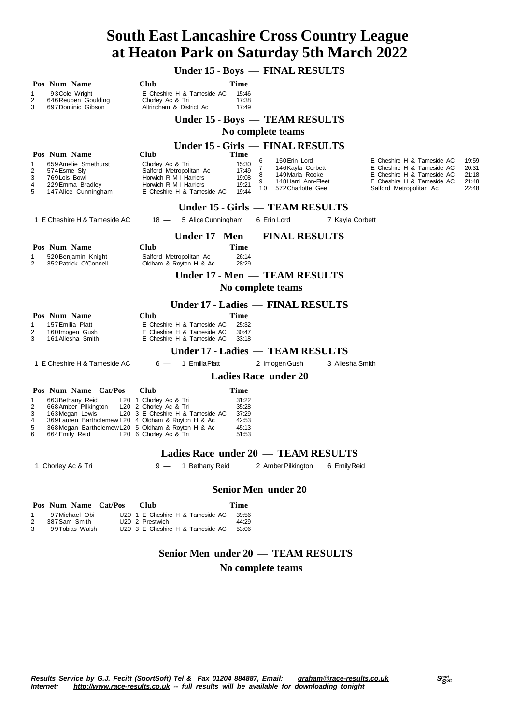**Under 15 - Boys — FINAL RESULTS**

|                                     | Pos Num Name                                                                                              | <b>Club</b>                                                                            | Time                    |                                                  |                 |                                                          |                |  |  |
|-------------------------------------|-----------------------------------------------------------------------------------------------------------|----------------------------------------------------------------------------------------|-------------------------|--------------------------------------------------|-----------------|----------------------------------------------------------|----------------|--|--|
| 1<br>2<br>3                         | 93 Cole Wright<br>646 Reuben Goulding<br>697 Dominic Gibson                                               | E Cheshire H & Tameside AC<br>Chorley Ac & Tri<br>Altrincham & District Ac             | 15:46<br>17:38<br>17:49 |                                                  |                 |                                                          |                |  |  |
|                                     |                                                                                                           |                                                                                        |                         | Under 15 - Boys — TEAM RESULTS                   |                 |                                                          |                |  |  |
|                                     |                                                                                                           |                                                                                        |                         | No complete teams                                |                 |                                                          |                |  |  |
|                                     |                                                                                                           |                                                                                        |                         | Under 15 - Girls — FINAL RESULTS                 |                 |                                                          |                |  |  |
|                                     | Pos Num Name                                                                                              | Club                                                                                   | Time                    | 150 Erin Lord                                    |                 | E Cheshire H & Tameside AC                               | 19:59          |  |  |
| 1<br>2                              | 659 Amelie Smethurst<br>574 Esme Sly                                                                      | Chorley Ac & Tri<br>Salford Metropolitan Ac                                            | 15:30<br>17:49          | 6<br>$\overline{7}$<br>146 Kayla Corbett         |                 | E Cheshire H & Tameside AC                               | 20:31          |  |  |
| 3                                   | 769 Lois Bowl                                                                                             | Horwich R M I Harriers                                                                 | 19:08                   | 149 Maria Rooke<br>8<br>9<br>148 Harri Ann-Fleet |                 | E Cheshire H & Tameside AC<br>E Cheshire H & Tameside AC | 21:18<br>21:48 |  |  |
| 4<br>5                              | 229 Emma Bradley<br>147 Alice Cunningham                                                                  | Horwich R M I Harriers<br>E Cheshire H & Tameside AC                                   | 19:21<br>19:44          | 10<br>572 Charlotte Gee                          |                 | Salford Metropolitan Ac                                  | 22:48          |  |  |
|                                     |                                                                                                           |                                                                                        |                         | Under 15 - Girls — TEAM RESULTS                  |                 |                                                          |                |  |  |
|                                     | 1 E Cheshire H & Tameside AC                                                                              | 5 Alice Cunningham<br>$18 -$                                                           |                         | 6 Erin Lord                                      | 7 Kayla Corbett |                                                          |                |  |  |
|                                     |                                                                                                           |                                                                                        |                         | Under 17 - Men — FINAL RESULTS                   |                 |                                                          |                |  |  |
|                                     | Pos Num Name                                                                                              | Club                                                                                   | Time                    |                                                  |                 |                                                          |                |  |  |
| 2                                   | 520 Benjamin Knight<br>352 Patrick O'Connell                                                              | Salford Metropolitan Ac<br>Oldham & Royton H & Ac                                      | 26:14<br>28:29          |                                                  |                 |                                                          |                |  |  |
|                                     |                                                                                                           |                                                                                        |                         | Under 17 - Men — TEAM RESULTS                    |                 |                                                          |                |  |  |
|                                     |                                                                                                           |                                                                                        |                         | No complete teams                                |                 |                                                          |                |  |  |
|                                     |                                                                                                           |                                                                                        |                         | Under 17 - Ladies - FINAL RESULTS                |                 |                                                          |                |  |  |
|                                     | Pos Num Name                                                                                              | Club                                                                                   | Time                    |                                                  |                 |                                                          |                |  |  |
| 1<br>2<br>3                         | 157 Emilia Platt<br>160 Imogen Gush<br>161 Aliesha Smith                                                  | E Cheshire H & Tameside AC<br>E Cheshire H & Tameside AC<br>E Cheshire H & Tameside AC | 25:32<br>30:47<br>33:18 |                                                  |                 |                                                          |                |  |  |
|                                     |                                                                                                           |                                                                                        |                         | Under 17 - Ladies — TEAM RESULTS                 |                 |                                                          |                |  |  |
|                                     | 1 E Cheshire H & Tameside AC                                                                              | 1 Emilia Platt<br>$6 -$                                                                |                         | 2 Imogen Gush                                    | 3 Aliesha Smith |                                                          |                |  |  |
|                                     |                                                                                                           |                                                                                        |                         | <b>Ladies Race under 20</b>                      |                 |                                                          |                |  |  |
|                                     | Pos Num Name Cat/Pos                                                                                      | Club                                                                                   | Time                    |                                                  |                 |                                                          |                |  |  |
| 1<br>$\overline{c}$                 | 663 Bethany Reid<br>668 Amber Pilkington                                                                  | L20 1 Chorley Ac & Tri<br>L20 2 Chorley Ac & Tri                                       | 31:22<br>35:28          |                                                  |                 |                                                          |                |  |  |
| 3                                   | 163 Megan Lewis                                                                                           | L20 3 E Cheshire H & Tameside AC                                                       | 37:29                   |                                                  |                 |                                                          |                |  |  |
| 4<br>5                              | 369 Lauren Bartholemew L20 4 Oldham & Royton H & Ac<br>368 Megan Bartholemew L20 5 Oldham & Royton H & Ac |                                                                                        | 42:53<br>45:13          |                                                  |                 |                                                          |                |  |  |
| 6                                   | 664 Emily Reid                                                                                            | L20 6 Chorley Ac & Tri                                                                 | 51:53                   |                                                  |                 |                                                          |                |  |  |
| Ladies Race under 20 - TEAM RESULTS |                                                                                                           |                                                                                        |                         |                                                  |                 |                                                          |                |  |  |
|                                     | 1 Chorley Ac & Tri                                                                                        | $9 -$                                                                                  |                         | 1 Bethany Reid 2 Amber Pilkington 6 Emily Reid   |                 |                                                          |                |  |  |
|                                     |                                                                                                           |                                                                                        |                         |                                                  |                 |                                                          |                |  |  |
| <b>Senior Men under 20</b>          |                                                                                                           |                                                                                        |                         |                                                  |                 |                                                          |                |  |  |
|                                     | Pos Num Name Cat/Pos                                                                                      | <b>Club</b>                                                                            | Time                    |                                                  |                 |                                                          |                |  |  |
| 1<br>2                              | 97 Michael Obi<br>387 Sam Smith                                                                           | U20 1 E Cheshire H & Tameside AC<br>U20 2 Prestwich                                    | 39:56<br>44:29          |                                                  |                 |                                                          |                |  |  |
| 3                                   | 99Tobias Walsh                                                                                            | U20 3 E Cheshire H & Tameside AC                                                       | 53:06                   |                                                  |                 |                                                          |                |  |  |
|                                     |                                                                                                           |                                                                                        |                         |                                                  |                 |                                                          |                |  |  |

### **Senior Men under 20 — TEAM RESULTS**

#### **No complete teams**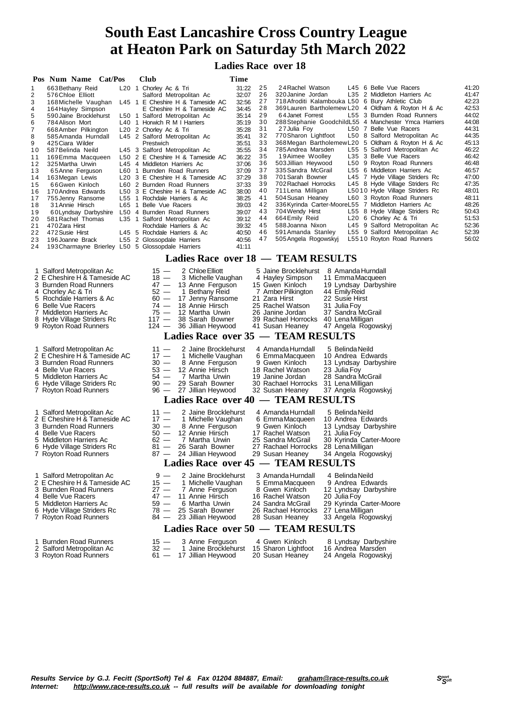**Ladies Race over 18**

|                                                                                                                                     | Pos Num Name Cat/Pos                                                                                                                                                                                                                                                                                                                                                                                                                                                                                                                                | Club                                                                                                                                                                                                                                                                                                                                                                                                                                                                                                                                                                                                                                                                                                                              | Time                                                                                                                                                                                                                                                                                                                                                           |                                                                                                                                                                                                                                                                                                                                                                                     |                                                                                                                                                                                                                                                                                                                                 |                                                                                                                                                                                                                                                                                                                                                                                                                                                                                                                       |                                                                                                                                                                                                             |
|-------------------------------------------------------------------------------------------------------------------------------------|-----------------------------------------------------------------------------------------------------------------------------------------------------------------------------------------------------------------------------------------------------------------------------------------------------------------------------------------------------------------------------------------------------------------------------------------------------------------------------------------------------------------------------------------------------|-----------------------------------------------------------------------------------------------------------------------------------------------------------------------------------------------------------------------------------------------------------------------------------------------------------------------------------------------------------------------------------------------------------------------------------------------------------------------------------------------------------------------------------------------------------------------------------------------------------------------------------------------------------------------------------------------------------------------------------|----------------------------------------------------------------------------------------------------------------------------------------------------------------------------------------------------------------------------------------------------------------------------------------------------------------------------------------------------------------|-------------------------------------------------------------------------------------------------------------------------------------------------------------------------------------------------------------------------------------------------------------------------------------------------------------------------------------------------------------------------------------|---------------------------------------------------------------------------------------------------------------------------------------------------------------------------------------------------------------------------------------------------------------------------------------------------------------------------------|-----------------------------------------------------------------------------------------------------------------------------------------------------------------------------------------------------------------------------------------------------------------------------------------------------------------------------------------------------------------------------------------------------------------------------------------------------------------------------------------------------------------------|-------------------------------------------------------------------------------------------------------------------------------------------------------------------------------------------------------------|
| 1<br>2<br>3<br>4<br>5<br>6<br>7<br>8<br>9<br>10<br>11<br>12<br>13<br>14<br>15<br>16<br>17<br>18<br>19<br>20<br>21<br>22<br>23<br>24 | 663 Bethany Reid<br>576 Chloe Elliott<br>168 Michelle Vaughan<br>164 Hayley Simpson<br>590 Jaine Brocklehurst<br>784 Alison Mort<br>668 Amber Pilkington<br>585 Amanda Hurndall<br>425 Ciara Wilder<br>587 Belinda Neild<br>169 Emma Macqueen<br>325 Martha Urwin<br>65Anne Ferguson<br>163 Megan Lewis<br>66Gwen Kinloch<br>170 Andrea Edwards<br>755 Jenny Ransome<br>31 Annie Hirsch<br>60 Lyndsay Darbyshire<br>581 Rachel Thomas<br>470 Zara Hirst<br>472 Susie Hirst<br>196 Joanne Brack<br>193 Charmayne Brierley L50 5 Glossopdale Harriers | L20 1 Chorley Ac & Tri<br>Salford Metropolitan Ac<br>L45 1 E Cheshire H & Tameside AC<br>E Cheshire H & Tameside AC<br>L50 1 Salford Metropolitan Ac<br>L40 1 Horwich R M I Harriers<br>L <sub>20</sub> 2 Chorley Ac & Tri<br>L45 2 Salford Metropolitan Ac<br>Prestwich<br>L45 3 Salford Metropolitan Ac<br>L50 2 E Cheshire H & Tameside AC<br>L45 4 Middleton Harriers Ac<br>L60 1 Burnden Road Runners<br>L20 3 E Cheshire H & Tameside AC<br>L60 2 Burnden Road Runners<br>L50 3 E Cheshire H & Tameside AC<br>L55 1 Rochdale Harriers & Ac<br>L65 1 Belle Vue Racers<br>L50 4 Burnden Road Runners<br>L35 1 Salford Metropolitan Ac<br>Rochdale Harriers & Ac<br>L45 5 Rochdale Harriers & Ac<br>L55 2 Glossopdale Harriers | 25<br>31:22<br>26<br>32:07<br>27<br>32:56<br>28<br>34:45<br>29<br>35:14<br>30<br>35:19<br>31<br>35:28<br>32<br>35:41<br>33<br>35:51<br>34<br>35:55<br>35<br>36:22<br>36<br>37:06<br>37<br>37:09<br>38<br>37:29<br>39<br>37:33<br>40<br>38:00<br>38:25<br>41<br>42<br>39:03<br>43<br>39:07<br>44<br>39:12<br>45<br>39:32<br>46<br>40:50<br>47<br>40:56<br>41:11 | 24 Rachel Watson<br>320 Janine Jordan<br>64 Janet Forrest<br>27 Julia Foy<br>770 Sharon Lightfoot<br>785 Andrea Marsden<br>19Aimee Woolley<br>503 Jillian Heywood<br>335 Sandra McGrail<br>701 Sarah Bowner<br>702 Rachael Horrocks<br>711 Lena Milligan<br>504 Susan Heaney<br>704 Wendy Hirst<br>664 Emily Reid<br>588 Joanna Nixon<br>591 Amanda Stanley<br>505 Angela Rogowskyj | L45 6 Belle Vue Racers<br>718 Afroditi Kalambouka L50 6 Bury Athletic Club<br>369 Lauren Bartholemew L20 4 Oldham & Royton H & Ac<br>L50 7 Belle Vue Racers<br>368Megan BartholemewL20 5 Oldham & Royton H & Ac<br>L35 3 Belle Vue Racers<br>336 Kyrinda Carter-MooreL55 7 Middleton Harriers Ac<br>L20 6 Chorley Ac & Tri      | L35 2 Middleton Harriers Ac<br>L55 3 Burnden Road Runners<br>288 Stephanie Goodchild L55 4 Manchester Ymca Harriers<br>L50 8 Salford Metropolitan Ac<br>L55 5 Salford Metropolitan Ac<br>L50 9 Royton Road Runners<br>L55 6 Middleton Harriers Ac<br>L45 7 Hyde Village Striders Rc<br>L45 8 Hyde Village Striders Rc<br>L5010 Hyde Village Striders Rc<br>L60 3 Royton Road Runners<br>L55 8 Hyde Village Striders Rc<br>L45 9 Salford Metropolitan Ac<br>L55 9 Salford Metropolitan Ac<br>L5510 Royton Road Runners | 41:20<br>41:47<br>42:23<br>42:53<br>44:02<br>44:08<br>44:31<br>44:35<br>45:13<br>46:22<br>46:42<br>46:48<br>46:57<br>47:00<br>47:35<br>48:01<br>48:11<br>48:26<br>50:43<br>51:53<br>52:36<br>52:39<br>56:02 |
|                                                                                                                                     |                                                                                                                                                                                                                                                                                                                                                                                                                                                                                                                                                     | Ladies Race over 18 - TEAM RESULTS                                                                                                                                                                                                                                                                                                                                                                                                                                                                                                                                                                                                                                                                                                |                                                                                                                                                                                                                                                                                                                                                                |                                                                                                                                                                                                                                                                                                                                                                                     |                                                                                                                                                                                                                                                                                                                                 |                                                                                                                                                                                                                                                                                                                                                                                                                                                                                                                       |                                                                                                                                                                                                             |
|                                                                                                                                     | 1 Salford Metropolitan Ac<br>2 E Cheshire H & Tameside AC<br>3 Burnden Road Runners<br>4 Chorley Ac & Tri<br>5 Rochdale Harriers & Ac<br>6 Belle Vue Racers<br>7 Middleton Harriers Ac<br>8 Hyde Village Striders Rc<br>9 Royton Road Runners<br>1 Salford Metropolitan Ac<br>2 E Cheshire H & Tameside AC<br>3 Burnden Road Runners<br>4 Belle Vue Racers<br>5 Middleton Harriers Ac<br>6 Hyde Village Striders Rc                                                                                                                                 | 2 Chloe Elliott<br>$15 -$<br>3 Michelle Vaughan<br>$18 -$<br>$47 -$<br>13 Anne Ferguson<br>$52 -$<br>1 Bethany Reid<br>$60 -$<br>17 Jenny Ransome<br>$74 -$<br>18 Annie Hirsch<br>$75 -$<br>12 Martha Urwin<br>$117 -$<br>38 Sarah Bowner<br>$124 -$<br>36 Jillian Heywood<br>Ladies Race over $35 -$<br>2 Jaine Brocklehurst<br>$11 -$<br>1 Michelle Vaughan<br>$17 -$<br>$30 -$<br>8 Anne Ferguson<br>$53 -$<br>12 Annie Hirsch<br>54 —<br>7 Martha Urwin<br>$90 -$<br>29 Sarah Bowner                                                                                                                                                                                                                                          |                                                                                                                                                                                                                                                                                                                                                                | 4 Hayley Simpson<br>15 Gwen Kinloch<br>7 Amber Pilkington<br>21 Zara Hirst<br>25 Rachel Watson<br>26 Janine Jordan<br>39 Rachael Horrocks<br>41 Susan Heaney<br><b>TEAM RESULTS</b><br>4 Amanda Hurndall<br>6 Emma Macqueen<br>9 Gwen Kinloch<br>18 Rachel Watson<br>19 Janine Jordan<br>30 Rachael Horrocks                                                                        | 5 Jaine Brocklehurst 8 Amanda Hurndall<br>11 EmmaMacqueen<br>19 Lyndsay Darbyshire<br>44 Emily Reid<br>22 Susie Hirst<br>31 Julia Foy<br>37 Sandra McGrail<br>40 Lena Milligan<br>47 Angela Rogowskyj<br>5 Belinda Neild<br>10 Andrea Edwards<br>13 Lyndsay Darbyshire<br>23 Julia Foy<br>28 Sandra McGrail<br>31 Lena Milligan |                                                                                                                                                                                                                                                                                                                                                                                                                                                                                                                       |                                                                                                                                                                                                             |
|                                                                                                                                     | 7 Royton Road Runners                                                                                                                                                                                                                                                                                                                                                                                                                                                                                                                               | 27 Jillian Heywood<br>$96 -$                                                                                                                                                                                                                                                                                                                                                                                                                                                                                                                                                                                                                                                                                                      |                                                                                                                                                                                                                                                                                                                                                                | 32 Susan Heaney                                                                                                                                                                                                                                                                                                                                                                     | 37 Angela Rogowskyj                                                                                                                                                                                                                                                                                                             |                                                                                                                                                                                                                                                                                                                                                                                                                                                                                                                       |                                                                                                                                                                                                             |
|                                                                                                                                     | 1 Salford Metropolitan Ac<br>2 E Cheshire H & Tameside AC<br>3 Burnden Road Runners<br>4 Belle Vue Racers<br>5 Middleton Harriers Ac<br>6 Hyde Village Striders Rc<br>7 Royton Road Runners<br>1 Salford Metropolitan Ac                                                                                                                                                                                                                                                                                                                            | <b>Ladies Race over 40</b><br>2 Jaine Brocklehurst<br>$11 -$<br>$17 -$<br>1 Michelle Vaughan<br>$30 -$<br>8 Anne Ferguson<br>12 Annie Hirsch<br>$50 -$<br>$62 -$<br>7 Martha Urwin<br>$81 -$<br>26 Sarah Bowner<br>$87 -$<br>24 Jillian Heywood<br><b>Ladies Race over 45 - TEAM RESULTS</b><br>$9 -$<br>2 Jaine Brocklehurst                                                                                                                                                                                                                                                                                                                                                                                                     |                                                                                                                                                                                                                                                                                                                                                                | - TEAM RESULTS<br>4 Amanda Hurndall<br>6 Emma Macqueen<br>9 Gwen Kinloch<br>17 Rachel Watson<br>25 Sandra McGrail<br>27 Rachael Horrocks<br>29 Susan Heaney<br>3 Amanda Hurndall                                                                                                                                                                                                    | 5 Belinda Neild<br>10 Andrea Edwards<br>13 Lyndsay Darbyshire<br>21 Julia Foy<br>30 Kyrinda Carter-Moore<br>28 Lena Milligan<br>34 Angela Rogowskyj<br>4 Belinda Neild                                                                                                                                                          |                                                                                                                                                                                                                                                                                                                                                                                                                                                                                                                       |                                                                                                                                                                                                             |
|                                                                                                                                     | 2 E Cheshire H & Tameside AC<br>3 Burnden Road Runners<br>4 Belle Vue Racers<br>5 Middleton Harriers Ac<br>6 Hyde Village Striders Rc<br>7 Royton Road Runners                                                                                                                                                                                                                                                                                                                                                                                      | $15 -$<br>1 Michelle Vaughan<br>27 —<br>7 Anne Ferguson<br>47 —<br>11 Annie Hirsch<br>59 —<br>6 Martha Urwin<br>78 —<br>25 Sarah Bowner<br>23 Jillian Heywood<br>84 —                                                                                                                                                                                                                                                                                                                                                                                                                                                                                                                                                             |                                                                                                                                                                                                                                                                                                                                                                | 5 EmmaMacqueen<br>8 Gwen Kinloch<br>16 Rachel Watson<br>24 Sandra McGrail<br>26 Rachael Horrocks<br>28 Susan Heaney                                                                                                                                                                                                                                                                 | 9 Andrea Edwards<br>12 Lyndsay Darbyshire<br>20 Julia Foy<br>29 Kyrinda Carter-Moore<br>27 Lena Milligan<br>33 Angela Rogowskyj                                                                                                                                                                                                 |                                                                                                                                                                                                                                                                                                                                                                                                                                                                                                                       |                                                                                                                                                                                                             |
|                                                                                                                                     |                                                                                                                                                                                                                                                                                                                                                                                                                                                                                                                                                     | Ladies Race over 50 - TEAM RESULTS                                                                                                                                                                                                                                                                                                                                                                                                                                                                                                                                                                                                                                                                                                |                                                                                                                                                                                                                                                                                                                                                                |                                                                                                                                                                                                                                                                                                                                                                                     |                                                                                                                                                                                                                                                                                                                                 |                                                                                                                                                                                                                                                                                                                                                                                                                                                                                                                       |                                                                                                                                                                                                             |
|                                                                                                                                     | 1 Burnden Road Runners                                                                                                                                                                                                                                                                                                                                                                                                                                                                                                                              | 15 - 3 Anne Ferguson                                                                                                                                                                                                                                                                                                                                                                                                                                                                                                                                                                                                                                                                                                              |                                                                                                                                                                                                                                                                                                                                                                | 4 Gwen Kinloch                                                                                                                                                                                                                                                                                                                                                                      | 8 Lyndsay Darbyshire                                                                                                                                                                                                                                                                                                            |                                                                                                                                                                                                                                                                                                                                                                                                                                                                                                                       |                                                                                                                                                                                                             |

- 
- 2 Salford Metropolitan Ac 32 1 Jaine Brocklehurst 15 Sharon Lightfoot 16 Andrea Marsden 3 Royton Road Runners 61 17 Jillian Heywood 20 Susan Heaney 24 Angela Rogowskyj
-